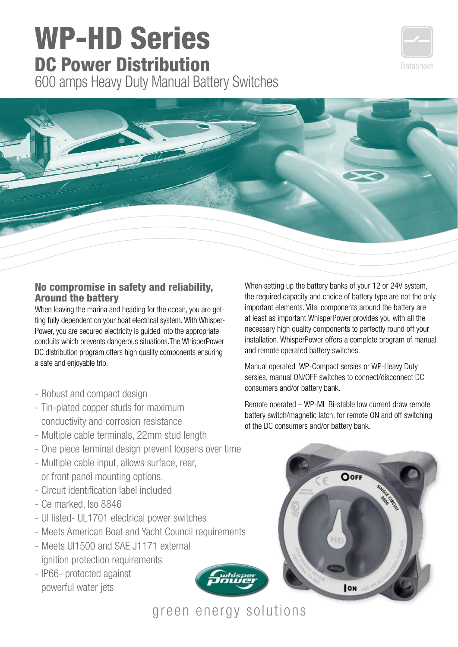## **WP-HD Series<br>DC Power Distribution**

600 amps Heavy Duty Manual Battery Switches





## No compromise in safety and reliability, Around the battery

When leaving the marina and heading for the ocean, you are getting fully dependent on your boat electrical system. With Whisper-Power, you are secured electricity is guided into the appropriate conduits which prevents dangerous situations.The WhisperPower DC distribution program offers high quality components ensuring a safe and enjoyable trip.

- Robust and compact design
- Tin-plated copper studs for maximum conductivity and corrosion resistance
- Multiple cable terminals, 22mm stud length
- One piece terminal design prevent loosens over time
- Multiple cable input, allows surface, rear, or front panel mounting options.
- Circuit identification label included
- Ce marked, Iso 8846
- Ul listed- UL1701 electrical power switches
- Meets American Boat and Yacht Council requirements
- Meets Ul1500 and SAE J1171 external ignition protection requirements
- IP66- protected against powerful water jets

When setting up the battery banks of your 12 or 24V system, the required capacity and choice of battery type are not the only important elements. Vital components around the battery are at least as important.WhisperPower provides you with all the necessary high quality components to perfectly round off your installation. WhisperPower offers a complete program of manual and remote operated battery switches.

Manual operated WP-Compact sersies or WP-Heavy Duty sersies, manual ON/OFF switches to connect/disconnect DC consumers and/or battery bank.

Remote operated – WP-ML Bi-stable low current draw remote battery switch/magnetic latch, for remote ON and off switching of the DC consumers and/or battery bank.



## green energy solutions